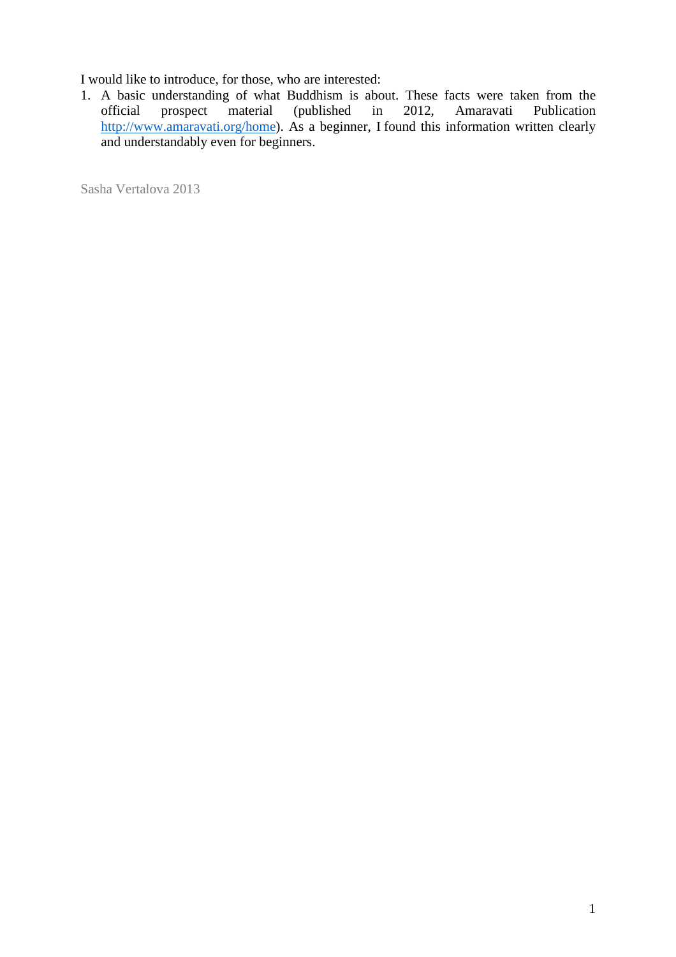I would like to introduce, for those, who are interested:

1. A basic understanding of what Buddhism is about. These facts were taken from the official prospect material (published in 2012, Amaravati Publication  $(published)$ http://www.amaravati.org/home). As a beginner, I found this information written clearly and understandably even for beginners.

Sasha Vertalova 2013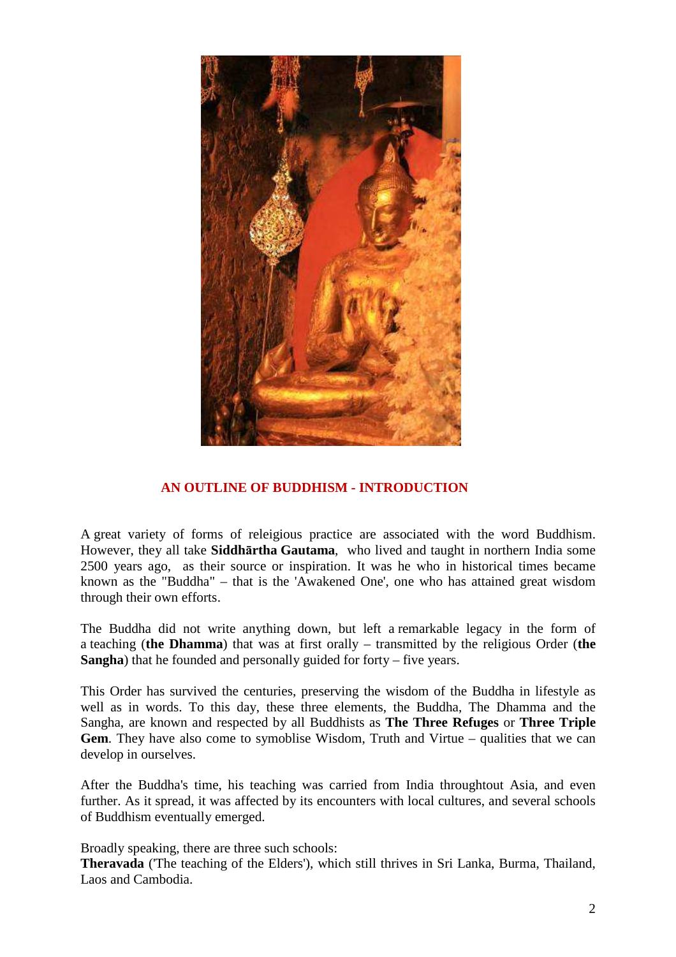

# **AN OUTLINE OF BUDDHISM - INTRODUCTION**

A great variety of forms of releigious practice are associated with the word Buddhism. However, they all take **Siddhārtha Gautama**, who lived and taught in northern India some 2500 years ago, as their source or inspiration. It was he who in historical times became known as the "Buddha" – that is the 'Awakened One', one who has attained great wisdom through their own efforts.

The Buddha did not write anything down, but left a remarkable legacy in the form of a teaching (**the Dhamma**) that was at first orally – transmitted by the religious Order (**the Sangha**) that he founded and personally guided for forty – five years.

This Order has survived the centuries, preserving the wisdom of the Buddha in lifestyle as well as in words. To this day, these three elements, the Buddha, The Dhamma and the Sangha, are known and respected by all Buddhists as **The Three Refuges** or **Three Triple Gem**. They have also come to symoblise Wisdom, Truth and Virtue – qualities that we can develop in ourselves.

After the Buddha's time, his teaching was carried from India throughtout Asia, and even further. As it spread, it was affected by its encounters with local cultures, and several schools of Buddhism eventually emerged.

Broadly speaking, there are three such schools:

**Theravada** ('The teaching of the Elders'), which still thrives in Sri Lanka, Burma, Thailand, Laos and Cambodia.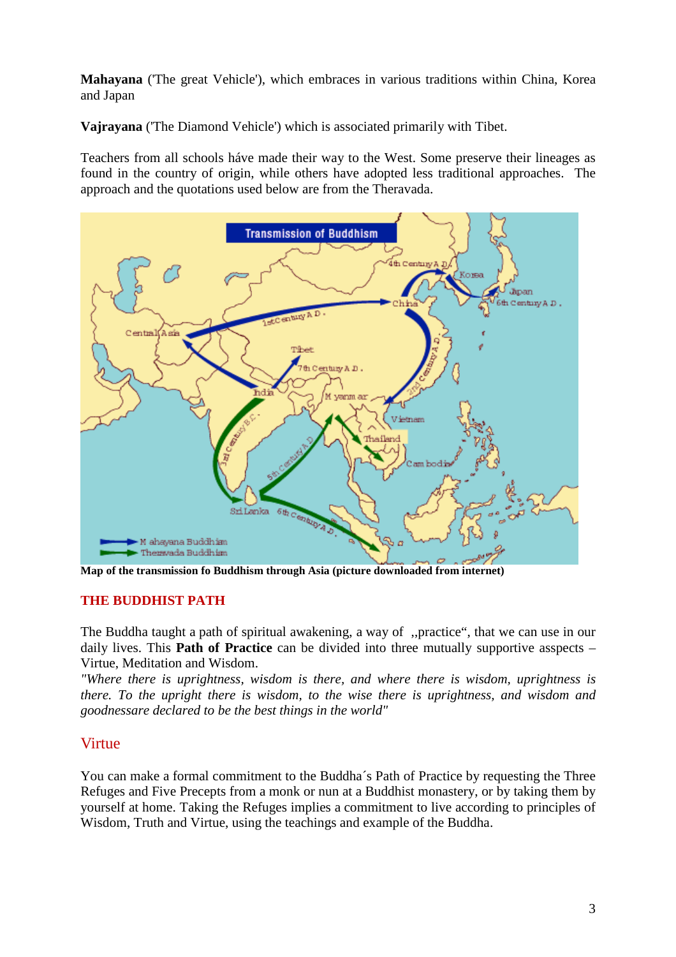**Mahayana** ('The great Vehicle'), which embraces in various traditions within China, Korea and Japan

**Vajrayana** ('The Diamond Vehicle') which is associated primarily with Tibet.

Teachers from all schools háve made their way to the West. Some preserve their lineages as found in the country of origin, while others have adopted less traditional approaches. The approach and the quotations used below are from the Theravada.



**Map of the transmission fo Buddhism through Asia (picture downloaded from internet)**

# **THE BUDDHIST PATH**

The Buddha taught a path of spiritual awakening, a way of ,,practice", that we can use in our daily lives. This **Path of Practice** can be divided into three mutually supportive asspects – Virtue, Meditation and Wisdom.

*"Where there is uprightness, wisdom is there, and where there is wisdom, uprightness is there. To the upright there is wisdom, to the wise there is uprightness, and wisdom and goodnessare declared to be the best things in the world"* 

# Virtue

You can make a formal commitment to the Buddha´s Path of Practice by requesting the Three Refuges and Five Precepts from a monk or nun at a Buddhist monastery, or by taking them by yourself at home. Taking the Refuges implies a commitment to live according to principles of Wisdom, Truth and Virtue, using the teachings and example of the Buddha.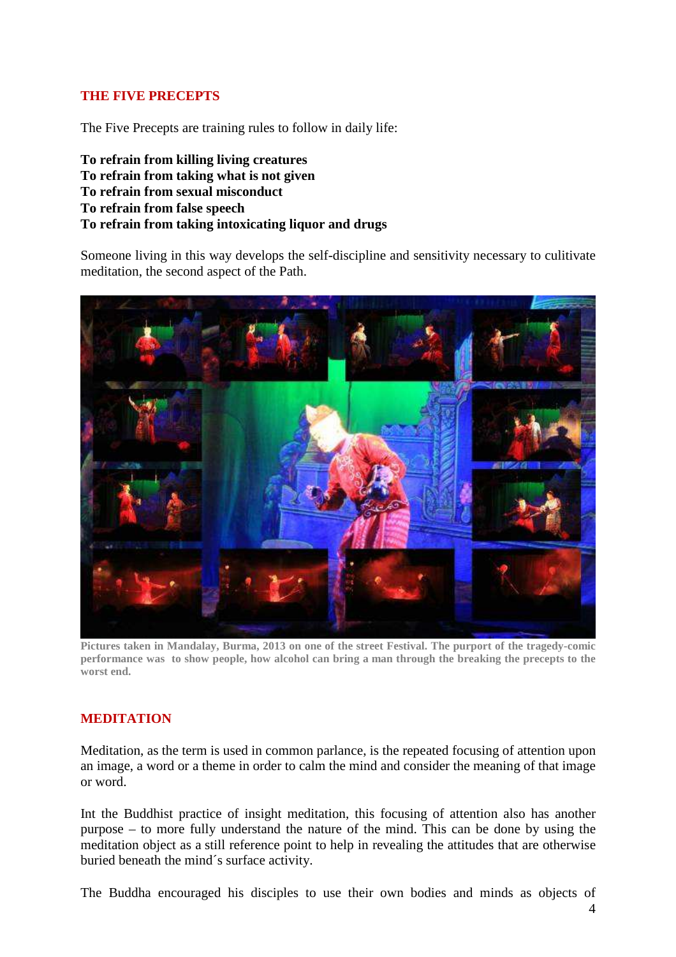# **THE FIVE PRECEPTS**

The Five Precepts are training rules to follow in daily life:

**To refrain from killing living creatures To refrain from taking what is not given To refrain from sexual misconduct To refrain from false speech To refrain from taking intoxicating liquor and drugs** 

Someone living in this way develops the self-discipline and sensitivity necessary to culitivate meditation, the second aspect of the Path.



**Pictures taken in Mandalay, Burma, 2013 on one of the street Festival. The purport of the tragedy-comic performance was to show people, how alcohol can bring a man through the breaking the precepts to the worst end.** 

# **MEDITATION**

Meditation, as the term is used in common parlance, is the repeated focusing of attention upon an image, a word or a theme in order to calm the mind and consider the meaning of that image or word.

Int the Buddhist practice of insight meditation, this focusing of attention also has another purpose – to more fully understand the nature of the mind. This can be done by using the meditation object as a still reference point to help in revealing the attitudes that are otherwise buried beneath the mind´s surface activity.

The Buddha encouraged his disciples to use their own bodies and minds as objects of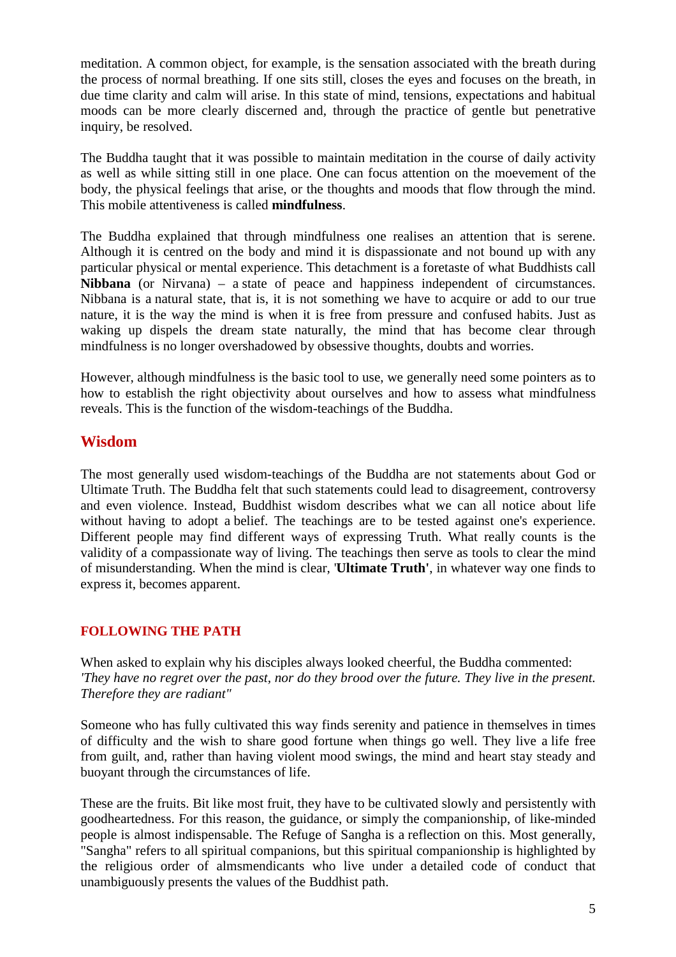meditation. A common object, for example, is the sensation associated with the breath during the process of normal breathing. If one sits still, closes the eyes and focuses on the breath, in due time clarity and calm will arise. In this state of mind, tensions, expectations and habitual moods can be more clearly discerned and, through the practice of gentle but penetrative inquiry, be resolved.

The Buddha taught that it was possible to maintain meditation in the course of daily activity as well as while sitting still in one place. One can focus attention on the moevement of the body, the physical feelings that arise, or the thoughts and moods that flow through the mind. This mobile attentiveness is called **mindfulness**.

The Buddha explained that through mindfulness one realises an attention that is serene. Although it is centred on the body and mind it is dispassionate and not bound up with any particular physical or mental experience. This detachment is a foretaste of what Buddhists call **Nibbana** (or Nirvana) – a state of peace and happiness independent of circumstances. Nibbana is a natural state, that is, it is not something we have to acquire or add to our true nature, it is the way the mind is when it is free from pressure and confused habits. Just as waking up dispels the dream state naturally, the mind that has become clear through mindfulness is no longer overshadowed by obsessive thoughts, doubts and worries.

However, although mindfulness is the basic tool to use, we generally need some pointers as to how to establish the right objectivity about ourselves and how to assess what mindfulness reveals. This is the function of the wisdom-teachings of the Buddha.

# **Wisdom**

The most generally used wisdom-teachings of the Buddha are not statements about God or Ultimate Truth. The Buddha felt that such statements could lead to disagreement, controversy and even violence. Instead, Buddhist wisdom describes what we can all notice about life without having to adopt a belief. The teachings are to be tested against one's experience. Different people may find different ways of expressing Truth. What really counts is the validity of a compassionate way of living. The teachings then serve as tools to clear the mind of misunderstanding. When the mind is clear, '**Ultimate Truth'**, in whatever way one finds to express it, becomes apparent.

# **FOLLOWING THE PATH**

When asked to explain why his disciples always looked cheerful, the Buddha commented: *'They have no regret over the past, nor do they brood over the future. They live in the present. Therefore they are radiant"* 

Someone who has fully cultivated this way finds serenity and patience in themselves in times of difficulty and the wish to share good fortune when things go well. They live a life free from guilt, and, rather than having violent mood swings, the mind and heart stay steady and buoyant through the circumstances of life.

These are the fruits. Bit like most fruit, they have to be cultivated slowly and persistently with goodheartedness. For this reason, the guidance, or simply the companionship, of like-minded people is almost indispensable. The Refuge of Sangha is a reflection on this. Most generally, "Sangha" refers to all spiritual companions, but this spiritual companionship is highlighted by the religious order of almsmendicants who live under a detailed code of conduct that unambiguously presents the values of the Buddhist path.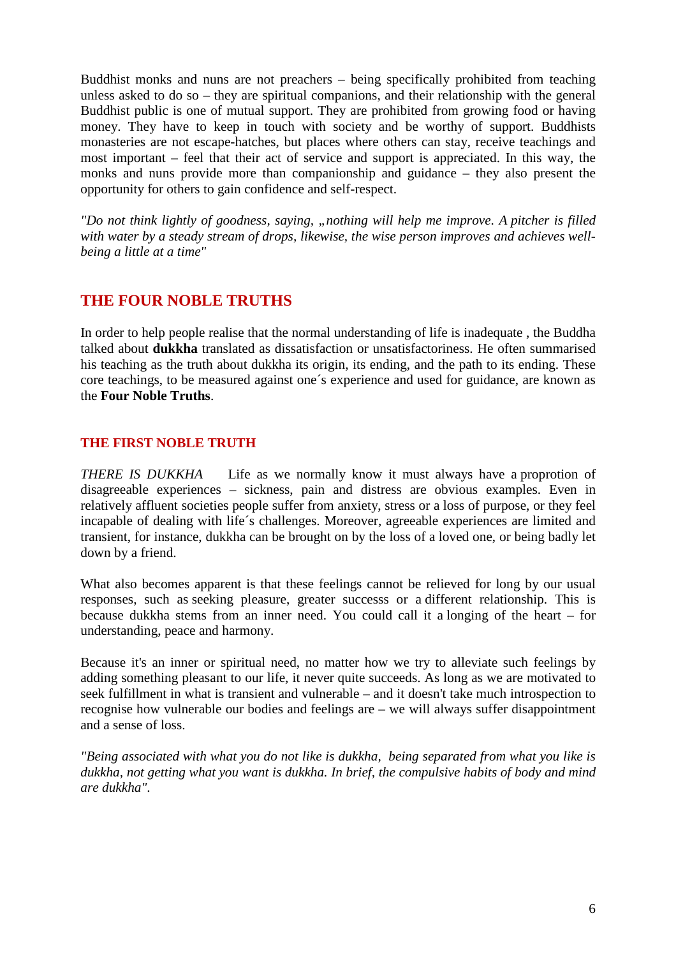Buddhist monks and nuns are not preachers – being specifically prohibited from teaching unless asked to do so – they are spiritual companions, and their relationship with the general Buddhist public is one of mutual support. They are prohibited from growing food or having money. They have to keep in touch with society and be worthy of support. Buddhists monasteries are not escape-hatches, but places where others can stay, receive teachings and most important – feel that their act of service and support is appreciated. In this way, the monks and nuns provide more than companionship and guidance – they also present the opportunity for others to gain confidence and self-respect.

*"Do not think lightly of goodness, saying, "nothing will help me improve. A pitcher is filled with water by a steady stream of drops, likewise, the wise person improves and achieves wellbeing a little at a time"* 

# **THE FOUR NOBLE TRUTHS**

In order to help people realise that the normal understanding of life is inadequate , the Buddha talked about **dukkha** translated as dissatisfaction or unsatisfactoriness. He often summarised his teaching as the truth about dukkha its origin, its ending, and the path to its ending. These core teachings, to be measured against one´s experience and used for guidance, are known as the **Four Noble Truths**.

# **THE FIRST NOBLE TRUTH**

*THERE IS DUKKHA* Life as we normally know it must always have a proprotion of disagreeable experiences – sickness, pain and distress are obvious examples. Even in relatively affluent societies people suffer from anxiety, stress or a loss of purpose, or they feel incapable of dealing with life´s challenges. Moreover, agreeable experiences are limited and transient, for instance, dukkha can be brought on by the loss of a loved one, or being badly let down by a friend.

What also becomes apparent is that these feelings cannot be relieved for long by our usual responses, such as seeking pleasure, greater successs or a different relationship. This is because dukkha stems from an inner need. You could call it a longing of the heart – for understanding, peace and harmony.

Because it's an inner or spiritual need, no matter how we try to alleviate such feelings by adding something pleasant to our life, it never quite succeeds. As long as we are motivated to seek fulfillment in what is transient and vulnerable – and it doesn't take much introspection to recognise how vulnerable our bodies and feelings are – we will always suffer disappointment and a sense of loss.

*"Being associated with what you do not like is dukkha, being separated from what you like is dukkha, not getting what you want is dukkha. In brief, the compulsive habits of body and mind are dukkha".*